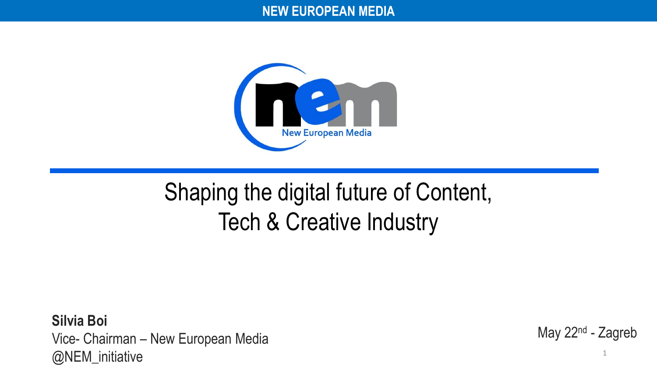#### **NEW EUROPEAN MEDIA**



## Shaping the digital future of Content, Tech & Creative Industry

**Silvia Boi** Vice- Chairman – New European Media @NEM\_initiative

May 22<sup>nd</sup> - Zagreb

1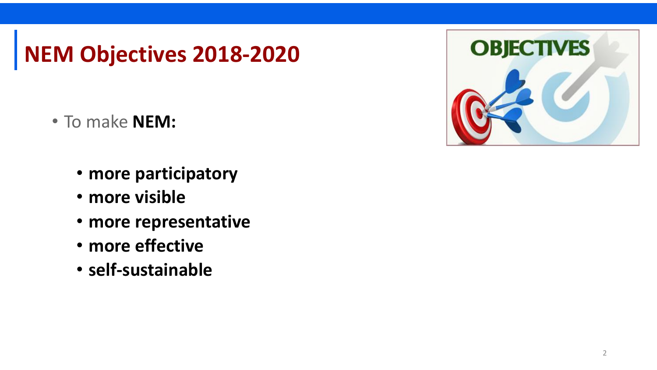### **NEM Objectives 2018-2020**

- To make **NEM:**
	- **more participatory**
	- **more visible**
	- **more representative**
	- **more effective**
	- **self-sustainable**

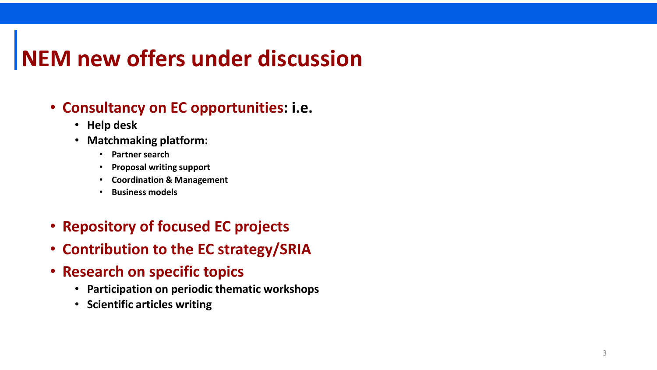### **NEM new offers under discussion**

### • **Consultancy on EC opportunities: i.e.**

- **Help desk**
- **Matchmaking platform:**
	- **Partner search**
	- **Proposal writing support**
	- **Coordination & Management**
	- **Business models**
- **Repository of focused EC projects**
- **Contribution to the EC strategy/SRIA**
- **Research on specific topics**
	- **Participation on periodic thematic workshops**
	- **Scientific articles writing**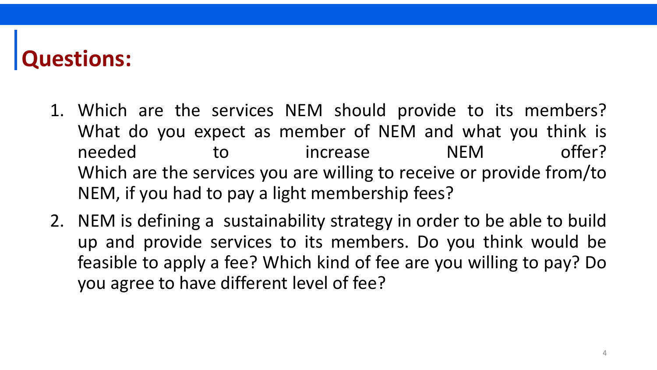### **Questions:**

- 1. Which are the services NEM should provide to its members? What do you expect as member of NEM and what you think is needed to increase NEM offer? Which are the services you are willing to receive or provide from/to NEM, if you had to pay a light membership fees?
- 2. NEM is defining a sustainability strategy in order to be able to build up and provide services to its members. Do you think would be feasible to apply a fee? Which kind of fee are you willing to pay? Do you agree to have different level of fee?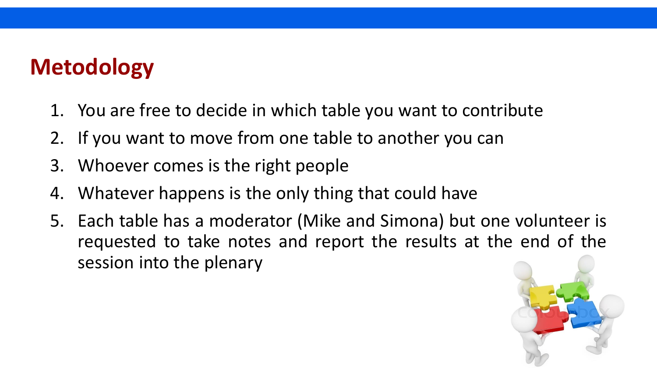### **Metodology**

- 1. You are free to decide in which table you want to contribute
- 2. If you want to move from one table to another you can
- 3. Whoever comes is the right people
- 4. Whatever happens is the only thing that could have
- 5. Each table has a moderator (Mike and Simona) but one volunteer is requested to take notes and report the results at the end of the session into the plenary